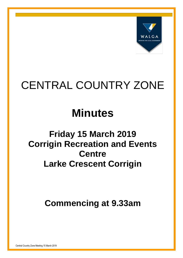

# CENTRAL COUNTRY ZONE

# **Minutes**

# **Friday 15 March 2019 Corrigin Recreation and Events Centre Larke Crescent Corrigin**

**Commencing at 9.33am**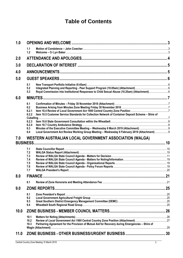## **Table of Contents**

| 1.0                    |                                                              |                                                                                                                                                                                                    |    |
|------------------------|--------------------------------------------------------------|----------------------------------------------------------------------------------------------------------------------------------------------------------------------------------------------------|----|
|                        | 1.1<br>$1.2$                                                 |                                                                                                                                                                                                    |    |
| 2.0                    |                                                              |                                                                                                                                                                                                    |    |
| 3.0                    |                                                              |                                                                                                                                                                                                    | .5 |
| 4.0                    |                                                              |                                                                                                                                                                                                    |    |
| 5.0                    |                                                              |                                                                                                                                                                                                    |    |
|                        | 5.1<br>5.2<br>5.3                                            |                                                                                                                                                                                                    |    |
| 6.0                    |                                                              |                                                                                                                                                                                                    |    |
|                        | 6.1<br>6.2<br>6.2.1<br>6.2.2<br>6.2.3<br>6.2.4<br>6.3<br>6.4 | Item 10.5 Customer Service Standards for Collection Network of Container Deposit Scheme - Shire of<br>Local Government Act Review Working Group Meeting - Wednesday 6 February 2019 (Attachment) 9 |    |
| 7.0<br><b>BUSINESS</b> |                                                              | <b>WESTERN AUSTRALIAN LOCAL GOVERNMENT ASSOCIATION (WALGA)</b>                                                                                                                                     |    |
|                        | 7.1<br>7.2<br>7.3<br>7.4<br>7.5<br>7.6<br>7.7                |                                                                                                                                                                                                    |    |
| 8.0                    |                                                              | <b>FINANCE</b>                                                                                                                                                                                     | 21 |
|                        | 8.1                                                          |                                                                                                                                                                                                    |    |
| 9.0                    |                                                              | <b>ZONE REPORTS.</b>                                                                                                                                                                               | 25 |
|                        | 9.1<br>9.2<br>9.3<br>9.4                                     |                                                                                                                                                                                                    |    |
| 10.0                   |                                                              |                                                                                                                                                                                                    |    |
|                        | 10.1<br>10.2<br>10.3                                         | Partnering Agreement for the Provision of Mutual Aid for Recovery during Emergencies - Shire of                                                                                                    |    |
| 11.0                   |                                                              |                                                                                                                                                                                                    |    |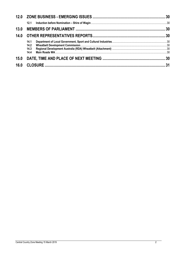| 14.1<br>14.2 |  |
|--------------|--|
| 14.3<br>14.4 |  |
|              |  |
|              |  |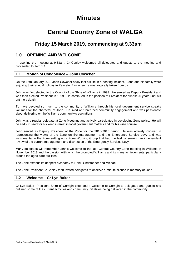## **Minutes**

## **Central Country Zone of WALGA**

## **Friday 15 March 2019, commencing at 9.33am**

## <span id="page-3-0"></span>**1.0 OPENING AND WELCOME**

In opening the meeting at 9.33am, Cr Conley welcomed all delegates and guests to the meeting and proceeded to Item 1.1.

#### <span id="page-3-1"></span>**1.1 Motion of Condolence – John Cowcher**

On the 16th January 2019 John Cowcher sadly lost his life in a boating incident. John and his family were enjoying their annual holiday in Peaceful Bay when he was tragically taken from us.

John was first elected to the Council of the Shire of Williams in 1993. He served as Deputy President and was then elected President in 1999. He continued in the position of President for almost 20 years until his untimely death.

To have devoted so much to the community of Williams through his local government service speaks volumes for the character of John. He lived and breathed community engagement and was passionate about delivering on the Williams community's aspirations.

John was a regular delegate at Zone Meetings and actively participated in developing Zone policy. He will be sadly missed for his keen interest in local government matters and for his wise counsel

John served as Deputy President of the Zone for the 2013-2015 period. He was actively involved in representing the views of the Zone on fire management and the Emergency Service Levy and was instrumental in the Zone setting up a Zone Working Group that had the task of seeking an independent review of the current management and distribution of the Emergency Services Levy.

Many delegates will remember John's welcome to the last Central Country Zone meeting in Williams in November 2018 and the passion with which he promoted Williams and its many achievements, particularly around the aged care facilities.

The Zone extends its deepest sympathy to Heidi, Christopher and Michael.

The Zone President Cr Conley then invited delegates to observe a minute silence in memory of John.

#### <span id="page-3-2"></span>**1.2 Welcome – Cr Lyn Baker**

Cr Lyn Baker, President Shire of Corrigin extended a welcome to Corrigin to delegates and guests and outlined some of the current activities and community initiatives being delivered in the community.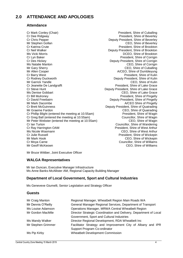## <span id="page-4-0"></span>**2.0 ATTENDANCE AND APOLOGIES**

#### **Attendance**

Cr Mark Conley (Chair) **President**, Shire of Cuballing Cr Dee Ridgway President, Shire of Beverley Cr Chris Pepper **Cricia Cr Chris Pepper Cricia Cr Chris Peputy President**, Shire of Beverley<br>Mr Stephen Gollan **CEO**, Shire of Beverley Cr Katrina Crute President, Shire of Brookton Cr Neil Walker **Deputy President, Shire of Brookton** Ms Vicki Morris DCEO, Shire of Brookton Cr Lyn Baker **President, Shire of Corrigin** President, Shire of Corrigin Cr Des Hickey **Deputy President, Shire of Corrigin** Ms Natalie Manton CEO, Shire of Corrigin Mr Gary Sherry **CEO**, Shire of Cuballing<br>Mr Allen Cooper **COLOGY CONSISTS** Cr Barry West President, Shire of Kulin Cr Rodney Duckworth **Cr Rodney Duckworth** Deputy President, Shire of Kulin<br>Mr Garrick Yandle CEO, Shire of Kulin Mr Garrick Yandle CEO, Shire of Kulin<br>Cr Jeanette De Landgrafft Cr Jeanette De Landgrafft Cr Jeanette De Landgrafft Cr Steve Hunt Deputy President, Shire of Lake Grace Ms Denise Gobbart CEO, Shire of Lake Grace Cr Bill Mulroney President, Shire of Pingelly Cr David Freebairn **Deputy President, Shire of Pingelly** Mr Mark Dacombe **A/CEO** Shire of Pingelly Cr Brett McGuinness Deputy President, Shire of Quairading Mr Graeme Fardon CEO, Shire of Quairading<br>Cr Phillip Blight (entered the meeting at 10.55am) Cr President, Shire of Wagin Cr Phillip Blight (entered the meeting at 10.55am) Cr Greg Ball (entered the meeting at 10.55am) Councillor, Shire of Wagin Mr Peter Webster (entered the meeting at 10.55am) CEO, Shire of Wagin **Cr Ian Turton** Cr Ian Turton Councillor, Shire of Wandering Cr Ray Harrington OAM President, Shire of West Arthur Ms Nicole Wasmann CEO, Shire of West Arthur Cr Julie Russell President, Shire of Wickepin Mr Mark Hook CEO, Shire of Wickepin Cr Moya Carne Carne Councillor, Shire of Williams Mr Geoff McKeown CEO, Shire of Williams

CEO, Shire of Beverley A/CEO, Shire of Dumbleyung President, Shire of Lake Grace

Mr Bruce Wittber, Joint Executive Officer

#### **WALGA Representatives**

Mr Ian Duncan, Executive Manager Infrastructure Ms Anne Banks-McAllister AM, Regional Capacity Building Manager

#### **Department of Local Government, Sport and Cultural Industries**

Ms Geneveve Giumelli, Senior Legislation and Strategy Officer

#### **Guests**

| Mr Craig Manton    | Regional Manager, Wheatbelt Region Main Roads WA                  |
|--------------------|-------------------------------------------------------------------|
| Mr Dennis O'Reilly | General Manager Regional Services, Department of Transport        |
| Ms Louise Adamson  | Operations Manager, MRWA Central Wheatbelt Region                 |
| Mr Gordon MacMile  | Director Strategic Coordination and Delivery, Department of Local |
|                    | Government, Sport and Cultural Industries                         |
| Ms Mandy Walker    | Director Regional Development, RDA Wheatbelt Inc                  |
| Mr Stephen Grimmer | Facilitator Strategy and Improvement City of Albany and IPR       |
|                    | Support Program Co-ordinator                                      |
| Ms Pip Kirby       | <b>Wheatbelt Development Commission</b>                           |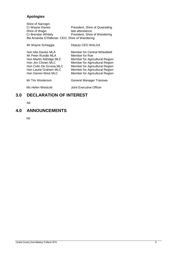## **Apologies**

| Shire of Narrogin  |                                              |
|--------------------|----------------------------------------------|
| Cr Wayne Davies    | President, Shire of Quairading               |
| Shire of Wagin     | late attendance                              |
| Cr Brendan Whitely | President, Shire of Wandering                |
|                    | Ms Amanda O'Halloran CEO, Shire of Wandering |

| Mr Wayne Scheggia                                                                                                                                                    | Deputy CEO WALGA                                                                                                                                                                                                         |
|----------------------------------------------------------------------------------------------------------------------------------------------------------------------|--------------------------------------------------------------------------------------------------------------------------------------------------------------------------------------------------------------------------|
| Hon Mia Davies MLA<br>Mr Peter Rundle MLA<br>Hon Martin Aldridge MLC<br>Hon Jim Chown MLC<br>Hon Colin De Grussa MLC<br>Hon Laurie Graham MLC<br>Hon Darren West MLC | Member for Central Wheatbelt<br>Member for Roe<br>Member for Agricultural Region<br>Member for Agricultural Region<br>Member for Agricultural Region<br>Member for Agricultural Region<br>Member for Agricultural Region |
| Mr Tim Woolerson                                                                                                                                                     | General Manager Transwa                                                                                                                                                                                                  |
| Ms Helen Westcott                                                                                                                                                    | <b>Joint Executive Officer</b>                                                                                                                                                                                           |

## <span id="page-5-0"></span>**3.0 DECLARATION OF INTEREST**

Nil

## <span id="page-5-1"></span>**4.0 ANNOUNCEMENTS**

Nil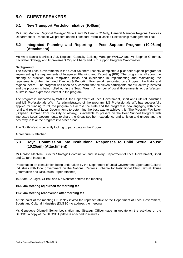## <span id="page-6-0"></span>**5.0 GUEST SPEAKERS**

#### <span id="page-6-1"></span>**5.1 New Transport Portfolio Initiative (9.45am)**

Mr Craig Manton, Regional Manager MRWA and Mr Dennis O'Reilly, General Manager Regional Services Department of Transport will present on the Transport Portfolio Unified Relationship Management Trial.

#### <span id="page-6-2"></span>**5.2 Integrated Planning and Reporting - Peer Support Program (10.05am) (Attachment)**

Ms Anne Banks-McAllister AM, Regional Capacity Building Manager WALGA and Mr Stephen Grimmer, Facilitator Strategy and Improvement City of Albany and IPR Support Program Co-ordinator

#### **Background:**

The eleven Local Governments in the Great Southern recently completed a pilot peer support program for implementing the requirements of Integrated Planning and Reporting (IPR). The program is all about the sharing of practical tools, templates, ideas and experience in implementing and maintaining the requirements of the Integrated Planning & Reporting Framework, supported by a Program Facilitator and regional peers. The program has been so successful that all eleven participants are still actively involved and the program is being rolled out in the South West. A number of Local Governments across Western Australia have expressed interest in the program.

The program is supported by WALGA, the Department of Local Government, Sport and Cultural Industries and LG Professionals WA. As administrators of the program, LG Professionals WA has successfully applied for funding to roll the program out across the state and the program is now engaging with other rural and regional Local Governments to determine the best way to achieve this. The Program Facilitator (Stephen Grimmer from the City of Albany) is available to present on the Peer Support Program with interested Local Governments, to share the Great Southern experience and to listen and understand the best way to take the program into other areas.

The South West is currently looking to participate in the Program.

A brochure is attached.

#### <span id="page-6-3"></span>**5.3 Royal Commission into Institutional Responses to Child Sexual Abuse (10.25am) (Attachment)**

Mr Gordon MacMile, Director Strategic Coordination and Delivery, Department of Local Government, Sport and Cultural Industries

Presentation on consultation being undertaken by the Department of Local Government, Sport and Cultural Industries with local government on the National Redress Scheme for Institutional Child Sexual Abuse (Information and Discussion Paper attached).

10.55am Cr Blight, Cr Ball and Mr Webster entered the meeting

#### **10.58am Meeting adjourned for morning tea**

#### **11.20am Meeting reconvened after morning tea**

At this point of the meeting Cr Conley invited the representative of the Department of Local Government, Sports and Cultural Industries (DLGSC) to address the meeting

Ms Geneveve Giumelli Senior Legislation and Strategy Officer gave an update on the activities of the DLGSC. A copy of the DLGSC Update is attached to minutes.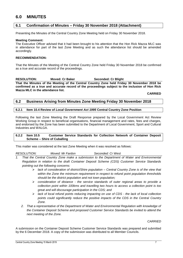## <span id="page-7-0"></span>**6.0 MINUTES**

#### <span id="page-7-1"></span>**6.1 Confirmation of Minutes – Friday 30 November 2018 (Attachment)**

Presenting the Minutes of the Central Country Zone Meeting held on Friday 30 November 2018.

#### **Meeting Comment:**

The Executive Officer advised that it had been brought to his attention that the Hon Rick Mazza MLC was in attendance for part of the last Zone Meeting and as such the attendance list should be amended accordingly.

#### **RECOMMENDATION:**

That the Minutes of the Meeting of the Central Country Zone held Friday 30 November 2018 be confirmed as a true and accurate record of the proceedings.

## **RESOLUTION: Moved: Cr Baker Seconded: Cr Blight**

**That the Minutes of the Meeting of the Central Country Zone held Friday 30 November 2018 be confirmed as a true and accurate record of the proceedings subject to the inclusion of Hon Rick Mazza MLC in the attendance list.**

**CARRIED**

#### <span id="page-7-2"></span>**6.2 Business Arising from Minutes Zone Meeting Friday 30 November 2018**

#### <span id="page-7-3"></span>**6.2.1 Item 10.4 Review of** *Local Government Act 1995* **Central Country Zone Position**

Following the last Zone Meeting the Draft Response prepared by the Local Government Act Review Working Group in respect to beneficial organisations, financial management and rates, fees and charges, and endorsed by the Zone has been submitted to the Department of Local Government, Sport and Cultural Industries and WALGA.

#### <span id="page-7-4"></span>**6.2.2 Item 10.5 Customer Service Standards for Collection Network of Container Deposit Scheme – Shire of Cuballing**

This matter was considered at the last Zone Meeting when it was resolved as follows:

*RESOLUTION: Moved: Mr Fardon Seconded: Cr West*

- *1. That the Central Country Zone make a submission to the Department of Water and Environmental Regulation in relation to the draft Container Deposit Scheme (CDS) Customer Service Standards pointing out the following concerns:*
	- *lack of consideration of district/Shire population – Central Country Zone is of the view that within the Zone the minimum requirement in respect to refund point population thresholds should be the district population and not town population;*
	- *consideration of distance - the service standards of outer regional areas to provide a collection point within 100kms and travelling two hours to access a collection point is too great and will discourage participation in the CDS; and*
	- *lack of local refund points reducing impacting on use of CDS - the lack of local collection points could significantly reduce the positive impacts of the CDS in the Central Country Zone.*
	- *2. That a representative of the Department of Water and Environmental Regulation with knowledge of the Container Deposit Scheme and proposed Customer Service Standards be invited to attend the next meeting of the Zone.*

*CARRIED*

A submission on the Container Deposit Scheme Customer Service Standards was prepared and submitted by the 6 December 2018. A copy of the submission was distributed to all Member Councils.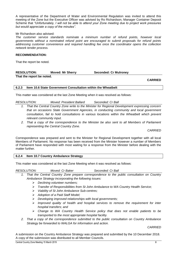A representative of the Department of Water and Environmental Regulation was invited to attend this meeting of the Zone but the Executive Officer was advised by Ro Richardson, Manager Container Deposit Scheme that *"Unfortunately, I will not be able to attend your Zone meeting due to project work pressures but would appreciate a copy of the minutes"*.

#### Mr Richardson also advised:

*The customer service standards nominate a minimum number of refund points, however local governments without a nominated refund point are encouraged to submit proposals for refund points addressing customer convenience and required handling fee once the coordinator opens the collection network tender process.*

#### **RECOMMENDATION:**

That the report be noted.

#### **RESOLUTION: Moved: Mr Sherry Seconded: Cr Mulroney That the report be noted.**

**CARRIED**

#### <span id="page-8-0"></span>**6.2.3 Item 10.6 State Government Consultation within the Wheatbelt**

This matter was considered at the last Zone Meeting when it was resolved as follows:

*RESOLUTION: Moved: President Ballard Seconded: Cr Ball*

- *1. That the Central Country Zone write to the Minister for Regional Development expressing concern that on occasions State Government Agencies, in conducting community and local government consultation, fail to hold consultations in various locations within the Wheatbelt which prevent relevant community input.*
- *2. That a copy of the correspondence to the Minister be also sent to all Members of Parliament representing the Central Country Zone.*

*CARRIED*

Correspondence was prepared and sent to the Minister for Regional Development together with all local Members of Parliament. No response has been received from the Minister however a number of Members of Parliament have responded with most waiting for a response from the Minister before dealing with the matter further.

#### <span id="page-8-1"></span>**6.2.4 Item 10.7 Country Ambulance Strategy**

This matter was considered at the last Zone Meeting when it was resolved as follows:

*RESOLUTION: Moved: Cr Baker Seconded: Cr Ball*

- *1. That the Central Country Zone prepare correspondence to the public consultation on Country Ambulance Strategy incorporating the following issues:*
	- *Declining volunteer numbers;*
	- *Transfer of Responsibilities from St John Ambulance to WA Country Health Service;*
	- *Viability of St John Ambulance Sub-centres;*
	- *Adoption of a Paid Staff Model;*
	- *Developing improved relationships with local governments;*
	- *Improved quality of health and hospital services to remove the requirement for inter hospital transfers; and*
	- *Change to WA Country Health Service policy that does not enable patients to be transported to the most appropriate hospital facility.*
- *2. That a copy of the correspondence submitted to the public consultation on Country Ambulance Strategy be forwarded to WALGA for information and action.*

*CARRIED*

A submission on the Country Ambulance Strategy was prepared and submitted by the 10 December 2018. A copy of the submission was distributed to all Member Councils.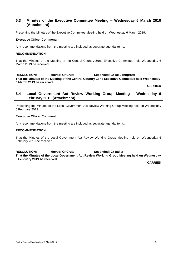#### <span id="page-9-0"></span>**6.3 Minutes of the Executive Committee Meeting – Wednesday 6 March 2019 (Attachment)**

Presenting the Minutes of the Executive Committee Meeting held on Wednesday 6 March 2019.

#### **Executive Officer Comment:**

Any recommendations from the meeting are included as separate agenda items.

#### **RECOMMENDATION:**

That the Minutes of the Meeting of the Central Country Zone Executive Committee held Wednesday 6 March 2019 be received.

#### **RESOLUTION: Moved: Cr Crute Seconded: Cr De Landgrafft**

**That the Minutes of the Meeting of the Central Country Zone Executive Committee held Wednesday 6 March 2019 be received.**

**CARRIED**

#### <span id="page-9-1"></span>**6.4 Local Government Act Review Working Group Meeting – Wednesday 6 February 2019 (Attachment)**

Presenting the Minutes of the Local Government Act Review Working Group Meeting held on Wednesday 6 February 2019.

#### **Executive Officer Comment:**

Any recommendations from the meeting are included as separate agenda items.

#### **RECOMMENDATION:**

That the Minutes of the Local Government Act Review Working Group Meeting held on Wednesday 6 February 2019 be received.

**RESOLUTION: Moved: Cr Crute Seconded: Cr Baker That the Minutes of the Local Government Act Review Working Group Meeting held on Wednesday 6 February 2019 be received.**

**CARRIED**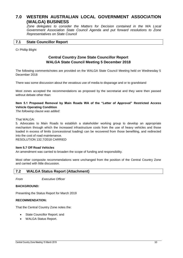## <span id="page-10-0"></span>**7.0 WESTERN AUSTRALIAN LOCAL GOVERNMENT ASSOCIATION (WALGA) BUSINESS**

*Zone delegates to consider the Matters for Decision contained in the WA Local Government Association State Council Agenda and put forward resolutions to Zone Representatives on State Council*

#### <span id="page-10-1"></span>**7.1 State Councillor Report**

Cr Phillip Blight

### **Central Country Zone State Councillor Report WALGA State Council Meeting 5 December 2018**

The following comments/notes are provided on the WALGA State Council Meeting held on Wednesday 5 December 2018

There was some discussion about the vexatious use of media to disparage and or to grandstand

Most zones accepted the recommendations as proposed by the secretariat and they were then passed without debate other than:

#### **Item 5.1 Proposed Removal by Main Roads WA of the "Letter of Approval" Restricted Access Vehicle Operating Condition**

*The following clause was added:*

#### That WALGA:

5. Advocates to Main Roads to establish a stakeholder working group to develop an appropriate mechanism through which the increased infrastructure costs from the use of heavy vehicles and those loaded in excess of limits (concessional loading) can be recovered from those benefiting, and redirected into the cost of road maintenance.

RESOLUTION 132.7/2018 CARRIED

#### **Item 5.7 Off Road Vehicles**

An amendment was carried to broaden the scope of funding and responsibility.

Most other composite recommendations were unchanged from the position of the Central Country Zone and carried with little discussion.

#### <span id="page-10-2"></span>**7.2 WALGA Status Report (Attachment)**

*From Executive Officer*

#### **BACKGROUND:**

Presenting the Status Report for March 2019

#### **RECOMMENDATION:**

That the Central Country Zone notes the:

- State Councillor Report; and
- WALGA Status Report.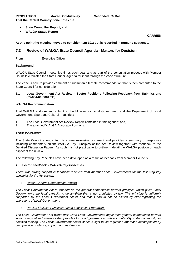| <b>RESOLUTION:</b>                       | <b>Moved: Cr Mulroney</b> |
|------------------------------------------|---------------------------|
| That the Central Country Zone notes the: |                           |

#### **State Councillor Report; and**

**WALGA Status Report**

#### **CARRIED**

**At this point the meeting moved to consider Item 10.2 but is recorded in numeric sequence.**

#### <span id="page-11-0"></span>**7.3 Review of WALGA State Council Agenda - Matters for Decision**

From Executive Officer

#### **Background:**

WALGA State Council meets five times each year and as part of the consultation process with Member Councils circulates the State Council Agenda for input through the Zone structure.

The Zone is able to provide comment or submit an alternate recommendation that is then presented to the State Council for consideration.

#### **5.1 Local Government Act Review – Sector Positions Following Feedback from Submissions (05-034-01-0001 TB)**

#### **WALGA Recommendation**

That WALGA endorse and submit to the Minister for Local Government and the Department of Local Government, Sport and Cultural Industries:

- 1. The Local Government Act Review Report contained in this agenda; and,
- 2. The attached WALGA Advocacy Positions.

#### **ZONE COMMENT:**

The State Council agenda item is a very extensive document and provides a summary of responses including commentary on the WALGA Key Principles of the Act Review together with feedback to the Detailed Discussion Papers. As such it is not practicable to outline in detail the WALGA position on each aspect of the review.

The following Key Principles have been developed as a result of feedback from Member Councils:

#### *1. Sector Feedback – WALGA Key Principles*

*There was strong support in feedback received from member Local Governments for the following key principles for the Act review:*

#### *Retain General Competence Powers*

*The Local Government Act is founded on the general competence powers principle, which gives Local Governments the legal capacity to do anything that is not prohibited by law. This principle is uniformly supported by the Local Government sector and that it should not be diluted by over-regulating the operations of Local Government.* 

*Provide Flexible, Principles-based Legislative Framework*

*The Local Government Act works well when Local Governments apply their general competence powers within a legislative framework that provides for good governance, with accountability to the community for decision-making. The Local Government sector seeks a light-touch regulation approach accompanied by best practice guidance, support and assistance.*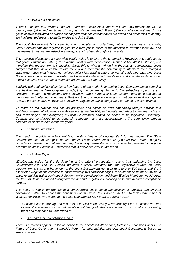#### *Principles not Prescription*

*There is concern that, without adequate care and sector input, the new Local Government Act will be overly prescriptive and mistakes of the past will be repeated. Prescriptive compliance regimes do not typically drive innovation or organisational performance; instead boxes are ticked and processes to comply are implemented leading to inefficiencies and distractions.* 

*The Local Government Act should focus on principles and objectives, not on process. As an example, Local Governments are required to give state-wide public notice of the intention to review a local law, and this means it must be advertised in a newspaper circulated throughout the state.* 

*The objective of requiring a state-wide public notice is to inform the community. However, one could argue that typical citizens are unlikely to study the Local Government Notices section of The West Australian, and therefore this requirement is ineffective. Given this is what is written into the Act, an administrator could suggest that they have complied with the law and therefore the community is informed, even though a state-wide notice clearly does not achieve this! Most administrators do not take this approach and Local Governments have instead innovated and now distribute email newsletters and operate multiple social media accounts and it is these methods that inform the community.* 

*Similarly with regional subsidiaries, a key feature of the model is to enable Local Governments to establish a subsidiary that is fit-for-purpose by adapting the governing charter to the subsidiary's purpose and structure. Instead, the regulations are prescriptive and a number of Local Governments have considered the model and opted not to pursue it. Best practice, guidance material and smart people working together to solve problems drive innovation; prescriptive regulation drives compliance for the sake of compliance.* 

*To focus on the process and not the principles and objectives risks embedding today's practice into legislation instead of allowing Local Governments the flexibility to innovate and adapt to new methods and new technologies. Not everything a Local Government should do needs to be legislated. Ultimately, Councils are considered to be generally competent and are accountable to the community through democratic elections held every two years.*

#### *Enabling Legislation*

*The need to provide enabling legislation with a "menu of opportunities" for the sector. The State Government need to set legislation that enables Local Governments to carry out activities, even though all Local Governments may not want to carry the activity, those that wish to, should be permitted to. A good example of this is Beneficial Enterprises that is discussed later in this report.*

*Avoid Red Tape*

*WALGA has called for the de-cluttering of the extensive regulatory regime that underpins the Local Government Act. The Act Review provides a timely reminder that the legislative burden on Local Government is vast and burdensome; the Local Government Act itself runs to over 500 pages and the 9 associated Regulations combine to approximately 400 additional pages. It would not be unfair or unkind to observe that few within each Local Government's administration, and fewer Elected Members, would grasp the level of detail contained throughout the Act and Regulations, creating of its own accord a compliance burden.* 

*This scale of legislation represents a considerable challenge to the delivery of effective and efficient governance. WALGA echoes the sentiments of Dr David Cox, Chair of the Law Reform Commission of Western Australia, who stated at the Local Government Act Forum in January 2019:*

*"Consideration in drafting (the new Act) is to think about who you are drafting it for? Consider who has to read it and write it for normal people – not law graduates. People want to know what's governing them and they need to understand it."* 

#### *Size and scale compliance regime*

*There is a marked appetite in the response to the Facilitated Workshops, Detailed Discussion Papers and Future of Local Government Statewide Forum for differentiation between Local Governments based on size and scale.*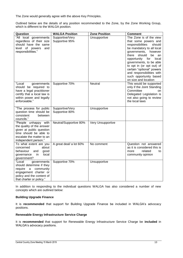The Zone would generally agree with the above Key Principles.

Outlined below are the details of any position recommended to the Zone, by the Zone Working Group, which is different to the WALGA position.

| Question                                                                                                                                                      | <b>WALGA Position</b>             | <b>Zone Position</b>     | <b>Comment</b>                                                                                                                                                                                                                                                                                                                                                       |
|---------------------------------------------------------------------------------------------------------------------------------------------------------------|-----------------------------------|--------------------------|----------------------------------------------------------------------------------------------------------------------------------------------------------------------------------------------------------------------------------------------------------------------------------------------------------------------------------------------------------------------|
| "All local governments<br>regardless of their size<br>should have the same<br>level of powers<br>and<br>responsibilities."                                    | Supportive/Very<br>Supportive 95% | Unsupportive             | The Zone is of the view<br>that some powers and<br>responsibilities<br>should<br>be mandatory to all local<br>governments,<br>however<br>there<br>should<br>be<br>an<br>opportunity for<br>local<br>governments, to be able<br>to opt in (or opt out) of<br>certain "optional" powers<br>and responsibilities with<br>such opportunity based<br>on size and location |
| "Local<br>governments<br>should be required to<br>have a legal practitioner<br>certify that a local law is<br>within power and legally<br>enforceable."       | Supportive 70%                    | <b>Neutral</b>           | This would be supported<br>only if the Joint Standing<br>Committee<br>on.<br>Delegated Legislation is<br>not also going to review<br>the local laws                                                                                                                                                                                                                  |
| "The process for public<br>question time should be<br>consistent<br>between<br>councils."                                                                     | Supportive/Very<br>Supportive 80% | Unsupportive             |                                                                                                                                                                                                                                                                                                                                                                      |
| "People unhappy with<br>the quality of the answer<br>given at public question<br>time should be able to<br>escalate the matter to an<br>independent person."  | Neutral/Supportive 80%            | <b>Very Unsupportive</b> |                                                                                                                                                                                                                                                                                                                                                                      |
| To what extent are you<br>about<br>concerned<br>behaviour<br>good<br>and<br>local<br>in<br>governance<br>government?                                          | A great deal/ a lot 60%           | No comment               | Question not answered<br>as it is considered this is<br>related<br>more<br>to<br>community opinion                                                                                                                                                                                                                                                                   |
| "Local<br>governments<br>should determine if they<br>require<br>a community<br>engagement charter or<br>policy and the content of<br>that charter or policy." | Supportive 70%                    | Unsupportive             |                                                                                                                                                                                                                                                                                                                                                                      |

In addition to responding to the individual questions WALGA has also considered a number of new concepts which are outlined below:

#### **Building Upgrade Finance**

It is **recommended** that support for Building Upgrade Finance be included in WALGA's advocacy positions.

#### **Renewable Energy Infrastructure Service Charge**

It is **recommended** that support for Renewable Energy Infrastructure Service Charge be **included** in WALGA's advocacy positions.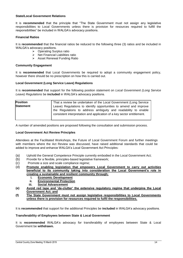#### **State/Local Government Relations**

It is **recommended** that the principle that "The State Government must not assign any legislative responsibilities to Local Governments unless there is provision for resources required to fulfill the responsibilities" be included in WALGA's advocacy positions.

#### **Financial Ratios**

It is **recommended** that the financial ratios be reduced to the following three (3) ratios and be included in WALGA's advocacy positions.

- ▶ Operating Surplus ratio
- $\triangleright$  Net Financial Liabilities ratio
- Asset Renewal Funding Ratio

#### **Community Engagement**

It is **recommended** that Local Governments be required to adopt a community engagement policy, however there should be no prescription on how this is carried out.

#### **Local Government (Long Service Leave) Regulations**

It is **recommended** that support for the following position statement on *Local Government (Long Service Leave) Regulations* be **included** in WALGA's advocacy positions.

| <b>Position</b>  | That a review be undertaken of the Local Government (Long Service                                                                                                                                             |  |  |
|------------------|---------------------------------------------------------------------------------------------------------------------------------------------------------------------------------------------------------------|--|--|
| <b>Statement</b> | Leave) Regulations to identify opportunities to amend and improve<br>the Regulations to address ambiguity and readability to enable<br>consistent interpretation and application of a key sector entitlement. |  |  |

A number of amended positions are proposed following the consultation and submission process.

#### **Local Government Act Review Principles**

Attendees at the Facilitated Workshops, the Future of Local Government Forum and further meetings with members where the Act Review was discussed, have raised additional standards that could be added to improve and enhance WALGA's Local Government Act Principles:

- (a) Uphold the General Competence Principle currently embodied in the Local Government Act;
- (b) Provide for a flexible, principles-based legislative framework;
- (c) Promote a size and scale compliance regime;
- (d) **Promote enabling legislation that empowers Local Government to carry out activities beneficial to its community taking into consideration the Local Government's role in creating a sustainable and resilient community through;**
	- **i. Economic Development**
	- **ii. Environmental Protection**
	- **iii. Social Advancement**
- **(e) Avoid red tape and 'de-clutter' the extensive regulatory regime that underpins the Local Government Act; and**
- **(f) The State Government must not assign legislative responsibilities to Local Governments unless there is provision for resources required to fulfil the responsibilities.**

It is **recommended** that support for the additional Principles be **included** in WALGA's advocacy positions.

#### **Transferability of Employees between State & Local Government**

It is **recommended** WALGA's advocacy for transferability of employees between State & Local Government be **withdrawn.**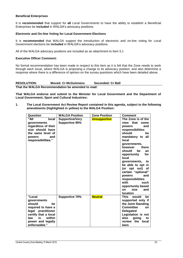#### **Beneficial Enterprises**

It is **recommended** that support for **all** Local Governments to have the ability to establish a Beneficial Enterprises be **included** in WALGA's advocacy positions.

#### **Electronic and On-line Voting for Local Government Elections**

It is **recommended** that WALGA support the introduction of electronic and on-line voting for Local Government elections be **included** in WALGA's advocacy positions.

All of the WALGA advocacy positions are included as an attachment to Item 5.1

#### **Executive Officer Comment:**

No formal recommendation has been made in respect to this item as it is felt that the Zone needs to work through each issue, where WALGA is proposing a change to its advocacy position, and also determine a response where there is a difference of opinion on the survey questions which have been detailed above.

**RESOLUTION: Moved: Cr McGuinness Seconded: Cr Ball That the WALGA Recommendation be amended to read:**

**That WALGA endorse and submit to the Minister for Local Government and the Department of Local Government, Sport and Cultural Industries:**

**1. The Local Government Act Review Report contained in this agenda, subject to the following amendments (highlighted in yellow) to the WALGA Position:**

| Question                                                                                                                                                               | <b>WALGA Position</b>                           | <b>Zone Position</b> | <b>Comment</b>                                                                                                                                                                                                                                                                                                                                                                                                              |
|------------------------------------------------------------------------------------------------------------------------------------------------------------------------|-------------------------------------------------|----------------------|-----------------------------------------------------------------------------------------------------------------------------------------------------------------------------------------------------------------------------------------------------------------------------------------------------------------------------------------------------------------------------------------------------------------------------|
| "All<br>local<br>governments<br>regardless of their<br>size should have<br>the same level of<br>and<br>powers<br>responsibilities."                                    | <b>Supportive/Very</b><br><b>Supportive 95%</b> | <b>Unsupportive</b>  | The Zone is of the<br>view that<br>some<br>and<br>powers<br>responsibilities<br>should<br>be<br>mandatory to all<br>local<br>governments,<br>however<br>there<br>should<br>be<br>an<br>opportunity<br>for<br>local<br>governments,<br>to<br>be able to opt in<br>(or opt out)<br>0f<br>certain "optional"<br>powers<br>and<br>responsibilities<br>with<br>such<br>opportunity based<br>size<br><b>on</b><br>and<br>location |
| "Local<br>governments<br>should<br>be<br>required to have a<br>legal practitioner<br>certify that a local<br>within<br>law<br>is<br>power and legally<br>enforceable." | <b>Supportive 70%</b>                           | <b>Neutral</b>       | <b>This</b><br>would<br>be<br>supported only if<br>the Joint Standing<br><b>Committee</b><br><b>on</b><br><b>Delegated</b><br>Legislation is not<br>also<br>going<br>to<br>review the local<br>laws                                                                                                                                                                                                                         |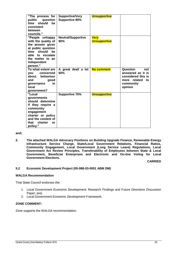| "The process for        | <b>Supportive/Very</b>    | <b>Unsupportive</b> |                                 |
|-------------------------|---------------------------|---------------------|---------------------------------|
| public question         | Supportive 80%            |                     |                                 |
| should<br>be<br>time    |                           |                     |                                 |
| consistent              |                           |                     |                                 |
| between                 |                           |                     |                                 |
| councils."              |                           |                     |                                 |
| "People unhappy         | <b>Neutral/Supportive</b> | <b>Very</b>         |                                 |
| with the quality of     | 80%                       | <b>Unsupportive</b> |                                 |
| the answer given        |                           |                     |                                 |
| at public question      |                           |                     |                                 |
| should<br>time<br>be    |                           |                     |                                 |
| able<br>to escalate     |                           |                     |                                 |
| the matter to an        |                           |                     |                                 |
| independent             |                           |                     |                                 |
| person."                |                           |                     |                                 |
| To what extent are      | A great deal/ a lot       | <b>No comment</b>   | Question<br>not                 |
| concerned<br><b>vou</b> | 60%                       |                     | answered as it is               |
| behaviour<br>about      |                           |                     | considered this is              |
| and<br>good<br>in.      |                           |                     | more related<br>to<br>community |
| governance<br>local     |                           |                     | opinion                         |
| government?             |                           |                     |                                 |
| "Local                  | <b>Supportive 70%</b>     | <b>Unsupportive</b> |                                 |
| governments             |                           |                     |                                 |
| should determine        |                           |                     |                                 |
| if they require a       |                           |                     |                                 |
| community               |                           |                     |                                 |
| engagement              |                           |                     |                                 |
| charter or policy       |                           |                     |                                 |
| and the content of      |                           |                     |                                 |
| that<br>charter<br>or   |                           |                     |                                 |
| policy."                |                           |                     |                                 |

#### **and;**

**2. The attached WALGA Advocacy Positions on Building Upgrade Finance, Renewable Energy Infrastructure Service Charge, State/Local Government Relations, Financial Ratios, Community Engagement, Local Government (Long Service Leave) Regulations, Local Government Act Review Principles, Transferability of Employees between State & Local Government, Beneficial Enterprises and Electronic and On-line Voting for Local Government Elections.**

**CARRIED**

#### **5.2 Economic Development Project (05-088-03-0001 ABM DM)**

#### **WALGA Recommendation**

That State Council endorses the:

- 1. Local Government Economic Development: Research Findings and Future Directions Discussion Paper; and,
- 2. Local Government Economic Development Framework.

#### **ZONE COMMENT:**

Zone supports the WALGA recommendation.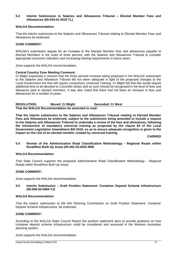#### **5.3 Interim Submission to Salaries and Allowances Tribunal – Elected Member Fees and Allowances (05-034-01-0019 TL)**

#### **WALGA Recommendation**

That the interim submission to the Salaries and Allowances Tribunal relating to Elected Member Fees and Allowances be endorsed.

#### **ZONE COMMENT:**

WALGA's submission argues for an increase to the Elected Member fees and allowances payable to Elected Members in the order of three percent, with the Salaries and Allowances Tribunal to consider appropriate economic indicators and increasing training requirements in future years.

Zone supports the WALGA recommendation.

#### **Central Country Zone Meeting Comment:**

Cr Blight expressed a concern that the three percent increase being proposed in the WALGA submission to the Salaries and Allowance Tribunal did not seem adequate in light of the proposed changes to the Local Government Act that will require compulsory Universal Training. Cr Blight felt that this would require additional time to be devoted to Councillor duties and as such should be recognised in the level of fees and allowance paid to elected members. It was also noted that there had not been an increase in fees and allowances for a number of years.

| <b>RESOLUTION:</b> | <b>Moved: Cr Blight</b>                           | <b>Seconded: Cr West</b> |
|--------------------|---------------------------------------------------|--------------------------|
|                    | That the WALGA Recommendation be amended to read: |                          |

**That the interim submission to the Salaries and Allowances Tribunal relating to Elected Member Fees and Allowances be endorsed, subject to the submission being amended to include a request to the Salaries and Allowances Tribunal to undertake a review of the fees and allowances, following the introduction of mandatory universal training as proposed by the clause 64 of the** *Local Government Legislation Amendment Bill 2019,* **so as to ensure adequate recognition is given to the impact on the role of an elected member created by universal training.**

**CARRIED**

**5.4 Review of the Administrative Road Classification Methodology - Regional Roads within Rural/Non Built Up Areas (05-001-03-0033 MM)**

#### **WALGA Recommendation**

That State Council supports the proposed Administrative Road Classification Methodology - Regional Roads within Rural/Non Built Up Areas.

#### **ZONE COMMENT:**

Zone supports the WALGA recommendation.

#### **5.5 Interim Submission – Draft Position Statement: Container Deposit Scheme Infrastructure (05-036-03-0064 VJ)**

#### **WALGA Recommendation**

That the interim submission to the WA Planning Commission on Draft Position Statement: Container Deposit Scheme Infrastructure, be endorsed.

#### **ZONE COMMENT:**

According to the WALGA State Council Report the position statement aims to provide guidance on how container deposit scheme infrastructure could be considered and assessed in the Western Australian planning system.

Zone supports the WALGA recommendation.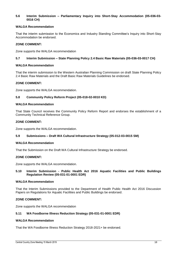#### **5.6 Interim Submission – Parliamentary Inquiry into Short-Stay Accommodation (05-036-03- 0016 CH)**

#### **WALGA Recommendation**

That the interim submission to the Economics and Industry Standing Committee's Inquiry into Short-Stay Accommodation be endorsed.

#### **ZONE COMMENT:**

Zone supports the WALGA recommendation

#### **5.7 Interim Submission – State Planning Policy 2.4 Basic Raw Materials (05-036-03-0017 CH)**

#### **WALGA Recommendation**

That the interim submission to the Western Australian Planning Commission on draft State Planning Policy 2.4 Basic Raw Materials and the Draft Basic Raw Materials Guidelines be endorsed.

#### **ZONE COMMENT:**

Zone supports the WALGA recommendation.

#### **5.8 Community Policy Reform Project (05-018-02-0010 KD)**

#### **WALGA Recommendation**

That State Council receives the Community Policy Reform Report and endorses the establishment of a Community Technical Reference Group.

#### **ZONE COMMENT:**

Zone supports the WALGA recommendation.

#### **5.9 Submissions – Draft WA Cultural Infrastructure Strategy (05-012-03-0015 SM)**

#### **WALGA Recommendation**

That the Submission on the Draft WA Cultural Infrastructure Strategy be endorsed.

#### **ZONE COMMENT:**

Zone supports the WALGA recommendation.

#### **5.10 Interim Submission - Public Health Act 2016 Aquatic Facilities and Public Buildings Regulation Review (05-031-01-0001 EDR)**

#### **WALGA Recommendation**

That the Interim Submissions provided to the Department of Health Public Health Act 2016 Discussion Papers on Regulations for Aquatic Facilities and Public Buildings be endorsed.

#### **ZONE COMMENT:**

Zone supports the WALGA recommendation

#### **5.11 WA Foodborne Illness Reduction Strategy (05-031-01-0001 EDR)**

#### **WALGA Recommendation**

That the WA Foodborne Illness Reduction Strategy 2018-2021+ be endorsed.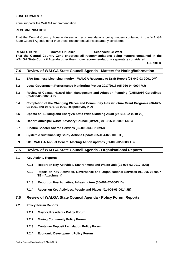#### **ZONE COMMENT:**

Zone supports the WALGA recommendation.

#### **RECOMMENDATION:**

That the Central Country Zone endorses all recommendations being matters contained in the WALGA State Council Agenda other than those recommendations separately considered.

**RESOLUTION: Moved: Cr Baker Seconded: Cr West**

**That the Central Country Zone endorses all recommendations being matters contained in the WALGA State Council Agenda other than those recommendations separately considered.** 

**CARRIED**

#### <span id="page-19-0"></span>**7.4 Review of WALGA State Council Agenda - Matters for Noting/Information**

- **6.1 ERA Business Licensing Inquiry – WALGA Response to Draft Report (05-049-03-0001 DM)**
- **6.2 Local Government Performance Monitoring Project 2017/2018 (05-036-04-0004 VJ)**
- **6.3 Review of Coastal Hazard Risk Management and Adaption Planning (CHRMAP) Guidelines (05-036-03-0065 AR)**
- **6.4 Completion of the Changing Places and Community Infrastructure Grant Programs (06-072- 01-0001 and 06-071-01-0001 Respectively KD)**
- **6.5 Update on Building and Energy's State Wide Cladding Audit (05-015-02-0010 VJ)**
- **6.6 Report Municipal Waste Advisory Council (MWAC) (01-006-03-0008 RNB)**
- **6.7 Electric Scooter Shared Services (05-005-03-0010MM)**
- **6.8 Systemic Sustainability Study Actions Update (05-034-02-0003 TB)**
- **6.9 2018 WALGA Annual General Meeting Action updates (01-003-02-0003 TB)**

#### <span id="page-19-1"></span>**7.5 Review of WALGA State Council Agenda - Organisational Reports**

- **7.1 Key Activity Reports**
	- **7.1.1 Report on Key Activities, Environment and Waste Unit (01-006-03-0017 MJB)**
	- **7.1.2 Report on Key Activities, Governance and Organisational Services (01-006-03-0007 TB) (Attachment)**
	- **7.1.3 Report on Key Activities, Infrastructure (05-001-02-0003 ID)**
	- **7.1.4 Report on Key Activities, People and Places (01-006-03-0014 JB)**

#### <span id="page-19-2"></span>**7.6 Review of WALGA State Council Agenda - Policy Forum Reports**

- **7.2 Policy Forum Reports**
	- **7.2.1 Mayors/Presidents Policy Forum**
	- **7.2.2 Mining Community Policy Forum**
	- **7.2.3 Container Deposit Legislation Policy Forum**
	- **7.2.4 Economic Development Policy Forum**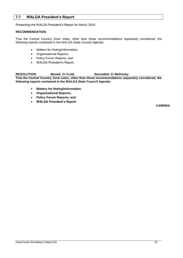#### <span id="page-20-0"></span>**7.7 WALGA President's Report**

Presenting the WALGA President's Report for March 2019.

#### **RECOMMENDATION:**

That the Central Country Zone notes, other than those recommendations separately considered, the following reports contained in the WALGA State Council Agenda:

- Matters for Noting/Information;
- Organisational Reports;
- Policy Forum Reports; and
- WALGA President's Report.

#### **RESOLUTION: Moved: Cr Crute Seconded: Cr Mulroney**

**That the Central Country Zone notes, other than those recommendations separately considered, the following reports contained in the WALGA State Council Agenda:**

- **Matters for Noting/Information;**
- **Organisational Reports;**
- **Policy Forum Reports; and**
- **WALGA President's Report**

**CARRIED**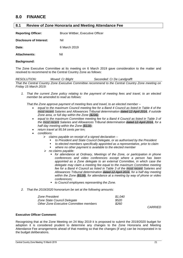## <span id="page-21-0"></span>**8.0 FINANCE**

#### <span id="page-21-1"></span>**8.1 Review of Zone Honoraria and Meeting Attendance Fee**

**Reporting Officer:** Bruce Wittber, Executive Officer

**Disclosure of Interest:** Nil

**Date:** 6 March 2019

Attachments: Nil

#### **Background:**

The Zone Executive Committee at its meeting on 6 March 2019 gave consideration to the matter and resolved to recommend to the Central Country Zone as follows:

*RESOLUTION: Moved: Cr Blight Seconded: Cr De Landgrafft That the Central Country Zone Executive Committee recommend to the Central Country Zone meeting on Friday 15 March 2019:*

*1. That the current Zone policy relating to the payment of meeting fees and travel, to an elected member be amended to read as follows:*

*That the Zone approve payment of meeting fees and travel, to an elected member –*

- *equal to the maximum Council meeting fee for a Band 4 Council as listed in Table 4 of the most recent Salaries and Allowances Tribunal determination dated 12 April 2016, if outside Zone area, or full day within the Zone (\$236);*
- *equal to the maximum Committee meeting fee for a Band 4 Council as listed in Table 3 of the most recent Salaries and Allowances Tribunal determination dated 12 April 2016, for a half day meeting within the Zone (\$118);*
- *return travel at 95.54 cents per km;*
- *conditions:*
	- *claims payable on receipt of a signed declaration –*
		- *to President and State Council Delegate, or as authorised by the President*
		- *to elected members specifically appointed as a representative, prior to claim*
		- *where no other payment is available to the elected member*
	- *no claims payable:*
		- *for attendance at Ordinary, Meetings of the Zone, or participation in phone conferences and video conferences except where a person has been appointed as a Zone delegate to an external Committee, in which case the delegate may claim a meeting fee equal to the maximum Committee meeting fee for a Band 4 Council as listed in Table 3 of the most recent Salaries and Allowances Tribunal determination dated 12 April 2016, for a half day meeting within the Zone (\$118), for attendance at a meeting by way of phone or video conferences;*
		- *to Council employees representing the Zone.*
- *2. That the 2019/2020 honorarium be set at the following amounts:*

| Zone President                         | \$1.040 |
|----------------------------------------|---------|
| Zone State Council Delegate            | \$520   |
| Other Zone Executive Committee members | \$260   |

*CARRIED*

#### **Executive Officer Comment**:

Recognising that at the Zone Meeting on 24 May 2019 it is proposed to submit the 2019/2020 budget for adoption it is considered prudent to determine any changes to the Zone Honoraria and Meeting Attendance Fee arrangements ahead of that meeting so that the changes (if any) can be incorporated in to the budget deliberations.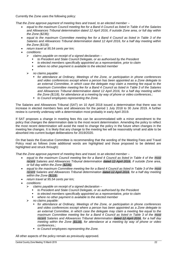Currently the Zone uses the following policy:

*That the Zone approve payment of meeting fees and travel, to an elected member –*

- *equal to the maximum Council meeting fee for a Band 4 Council as listed in Table 4 of the Salaries and Allowances Tribunal determination dated 12 April 2016, if outside Zone area, or full day within the Zone (\$236);*
- *equal to the maximum Committee meeting fee for a Band 4 Council as listed in Table 3 of the Salaries and Allowances Tribunal determination dated 12 April 2016, for a half day meeting within the Zone (\$118);*
- *return travel at 95.54 cents per km;*
- *conditions:*
	- *claims payable on receipt of a signed declaration –*
		- *to President and State Council Delegate, or as authorised by the President*
		- *to elected members specifically appointed as a representative, prior to claim*
		- *where no other payment is available to the elected member*
	- . *no claims payable:*
		- *for attendance at Ordinary, Meetings of the Zone, or participation in phone conferences and video conferences except where a person has been appointed as a Zone delegate to an external Committee, in which case the delegate may claim a meeting fee equal to the maximum Committee meeting fee for a Band 4 Council as listed in Table 3 of the Salaries and Allowances Tribunal determination dated 12 April 2016, for a half day meeting within the Zone (\$118), for attendance at a meeting by way of phone or video conferences.;*
		- *to Council employees representing the Zone.*

The Salaries and Allowances Tribunal (SAT) on 10 April 2018 issued a determination that there was no increase in elected members fees and allowances for the period 1 July 2018 to 30 June 2019. A further review is currently underway with a determination most probably in early April 2019.

If SAT proposes a change in meeting fees this can be accommodated with a minor amendment to the policy that changes the determination date to the most recent determination. Amending the policy to reflect the most recent determination will avoid the need to change the policy in the future when changes in the meeting fee changes. It is likely that any change to the meeting fee will be reasonably small and able to be absorbed into current budget deliberations for 2019/2020.

On that basis the Executive Committee is recommending that the wording of the Meeting Fees and Travel Policy read as follows (note additional words are highlighted and those proposed to be deleted are highlighted and struck through):

*That the Zone approve payment of meeting fees and travel, to an elected member –*

- *equal to the maximum Council meeting fee for a Band 4 Council as listed in Table 4 of the most recent Salaries and Allowances Tribunal determination dated 12 April 2016, if outside Zone area, or full day within the Zone (\$236);*
- *equal to the maximum Committee meeting fee for a Band 4 Council as listed in Table 3 of the most recent Salaries and Allowances Tribunal determination dated 12 April 2016, for a half day meeting within the Zone (\$118);*
- *return travel at 95.54 cents per km;*
- *conditions:*
	- *claims payable on receipt of a signed declaration –*
		- *to President and State Council Delegate, or as authorised by the President*
		- *to elected members specifically appointed as a representative, prior to claim*
		- *where no other payment is available to the elected member*
	- *no claims payable:*
		- *for attendance at Ordinary, Meetings of the Zone, or participation in phone conferences and video conferences except where a person has been appointed as a Zone delegate to an external Committee, in which case the delegate may claim a meeting fee equal to the maximum Committee meeting fee for a Band 4 Council as listed in Table 3 of the most recent Salaries and Allowances Tribunal determination dated 12 April 2016, for a half day meeting within the Zone (\$118), for attendance at a meeting by way of phone or video conferences.;*
		- *to Council employees representing the Zone.*

All other aspects of the policy remain as previously approved.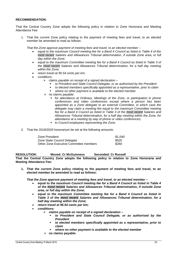#### **RECOMMENDATION:**

That the Central Country Zone adopts the following policy in relation to Zone Honoraria and Meeting Attendance Fee:

1. That the current Zone policy relating to the payment of meeting fees and travel, to an elected member be amended to read as follows:

*That the Zone approve payment of meeting fees and travel, to an elected member –*

- *equal to the maximum Council meeting fee for a Band 4 Council as listed in Table 4 of the most recent Salaries and Allowances Tribunal determination, if outside Zone area, or full day within the Zone;*
- *equal to the maximum Committee meeting fee for a Band 4 Council as listed in Table 3 of the most recent Salaries and Allowances Tribunal determination, for a half day meeting within the Zone;*
- *return travel at 95.54 cents per km;*
- *conditions:*
	- *claims payable on receipt of a signed declaration –*
		- *to President and State Council Delegate, or as authorised by the President*
		- *to elected members specifically appointed as a representative, prior to claim*
		- *where no other payment is available to the elected member*
	- $\triangleright$  no claims payable:
		- *for attendance at Ordinary, Meetings of the Zone, or participation in phone conferences and video conferences except where a person has been appointed as a Zone delegate to an external Committee, in which case the delegate may claim a meeting fee equal to the maximum Committee meeting fee for a Band 4 Council as listed in Table 3 of the most recent Salaries and Allowances Tribunal determination, for a half day meeting within the Zone, for attendance at a meeting by way of phone or video conferences;*
		- *to Council employees representing the Zone.*
- 2. That the 2019/2020 honorarium be set at the following amounts:

| Zone President                         | \$1.040 |
|----------------------------------------|---------|
| Zone State Council Delegate            | \$520   |
| Other Zone Executive Committee members | \$260   |

**RESOLUTION: Moved: Cr McGuinness Seconded: Cr Russell That the Central Country Zone adopts the following policy in relation to Zone Honoraria and Meeting Attendance Fee:**

**1. That the current Zone policy relating to the payment of meeting fees and travel, to an elected member be amended to read as follows:**

*That the Zone approve payment of meeting fees and travel, to an elected member –*

- *equal to the maximum Council meeting fee for a Band 4 Council as listed in Table 4 of the most recent Salaries and Allowances Tribunal determination, if outside Zone area, or full day within the Zone;*
- *equal to the maximum Committee meeting fee for a Band 4 Council as listed in Table 3 of the most recent Salaries and Allowances Tribunal determination, for a half day meeting within the Zone;*
- *return travel at 95.54 cents per km;*
- *conditions:*
	- *claims payable on receipt of a signed declaration –*
		- *to President and State Council Delegate, or as authorised by the President*
		- *to elected members specifically appointed as a representative, prior to claim*
		- *where no other payment is available to the elected member*
	- **no claims payable:**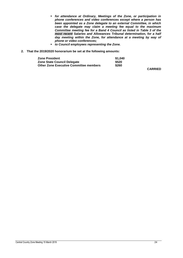- *for attendance at Ordinary, Meetings of the Zone, or participation in phone conferences and video conferences except where a person has been appointed as a Zone delegate to an external Committee, in which case the delegate may claim a meeting fee equal to the maximum Committee meeting fee for a Band 4 Council as listed in Table 3 of the most recent Salaries and Allowances Tribunal determination, for a half day meeting within the Zone, for attendance at a meeting by way of phone or video conferences;*
- *to Council employees representing the Zone.*
- **2. That the 2019/2020 honorarium be set at the following amounts:**

| Zone President                         | \$1,040 |
|----------------------------------------|---------|
| Zone State Council Delegate            | \$520   |
| Other Zone Executive Committee members | \$260   |

**CARRIED**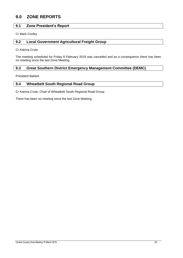## <span id="page-25-0"></span>**9.0 ZONE REPORTS**

#### <span id="page-25-1"></span>**9.1 Zone President's Report**

Cr Mark Conley

#### <span id="page-25-2"></span>**9.2 Local Government Agricultural Freight Group**

Cr Katrina Crute

The meeting scheduled for Friday 8 February 2019 was cancelled and as a consequence there has been no meeting since the last Zone Meeting.

#### <span id="page-25-3"></span>**9.3 Great Southern District Emergency Management Committee (DEMC)**

President Ballard

#### <span id="page-25-4"></span>**9.4 Wheatbelt South Regional Road Group**

Cr Katrina Crute, Chair of Wheatbelt South Regional Road Group

There has been no meeting since the last Zone Meeting.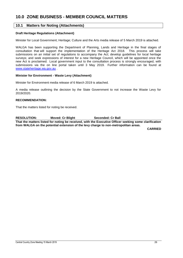## <span id="page-26-0"></span>**10.0 ZONE BUSINESS - MEMBER COUNCIL MATTERS**

#### <span id="page-26-1"></span>**10.1 Matters for Noting (Attachments)**

#### **Draft Heritage Regulations (Attachment)**

Minister for Local Government; Heritage; Culture and the Arts media release of 5 March 2019 is attached.

WALGA has been supporting the Department of Planning, Lands and Heritage in the final stages of consultation that will support the implementation of the Heritage Act 2018. This process will take submissions on an initial set of regulations to accompany the Act; develop guidelines for local heritage surveys; and seek expressions of interest for a new Heritage Council, which will be appointed once the new Act is proclaimed. Local government input to the consultation process is strongly encouraged, with submissions via the on line portal taken until 3 May 2019. Further information can be found at [www.stateheritage.wa.gov.au](http://www.stateheritage.wa.gov.au/) .

#### **Minister for Environment - Waste Levy (Attachment)**

Minister for Environment media release of 6 March 2019 is attached.

A media release outlining the decision by the State Government to not increase the Waste Levy for 2019/2020.

#### **RECOMMENDATION:**

That the matters listed for noting be received.

**RESOLUTION: Moved: Cr Blight Seconded: Cr Ball**

**That the matters listed for noting be received, with the Executive Officer seeking some clarification from WALGA on the potential extension of the levy charge to non-metropolitan areas.**

**CARRIED**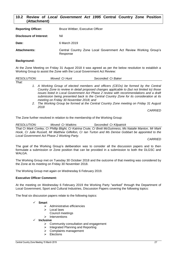#### <span id="page-27-0"></span>**10.2 Review of** *Local Government Act 1995* **Central Country Zone Position (Attachment)**

| <b>Reporting Officer:</b> | <b>Bruce Wittber, Executive Officer</b>                                      |
|---------------------------|------------------------------------------------------------------------------|
| Disclosure of Interest:   | Nil                                                                          |
| Date:                     | 6 March 2019                                                                 |
| <b>Attachments:</b>       | Central Country Zone Local Government Act Review Working Group's<br>Response |

#### **Background:**

At the Zone Meeting on Friday 31 August 2018 it was agreed as per the below resolution to establish a Working Group to assist the Zone with the Local Government Act Review:

| RESOLUTION: | Moved: Cr Hunt                                                                             | Seconded: Cr Baker                                                                       |  |
|-------------|--------------------------------------------------------------------------------------------|------------------------------------------------------------------------------------------|--|
| That:       |                                                                                            |                                                                                          |  |
|             |                                                                                            | 1. A Working Group of elected members and officers (CEOs) be formed by the Central       |  |
|             | Country Zone to review in detail proposed changes applicable to (but not limited to) those |                                                                                          |  |
|             |                                                                                            | issues listed in Local Government Act Phase 2 review with recommendations and a draft    |  |
|             |                                                                                            | submission being presented back to the Central Country Zone for its consideration at its |  |

*meeting on Friday 30 November 2018; and 2. The Working Group be formed at the Central Country Zone meeting on Friday 31 August 2018*

*CARRIED*

The Zone further resolved in relation to the membership of the Working Group:

*RESOLUTION: Moved: Cr Watkins Seconded: Cr Kilpatrick That Cr Mark Conley, Cr Phillip Blight, Cr Katrina Crute, Cr Brett McGuinness, Ms Natalie Manton, Mr Mark Hook, Cr Julie Russell, Mr Matthew Gilfellon, Cr Ian Turton and Ms Denise Gobbart be appointed to the Local Government Act Phase 2 Working Party.*

*CARRIED*

The goal of the Working Group's deliberation was to consider all the discussion papers and to then formulate a submission or Zone position that can be provided in a submission to both the DLGSC and WAI GA

The Working Group met on Tuesday 30 October 2018 and the outcome of that meeting was considered by the Zone at its meeting on Friday 30 November 2018.

The Working Group met again on Wednesday 6 February 2019.

#### **Executive Officer Comment:**

At the meeting on Wednesday 6 February 2019 the Working Party "worked" through the Department of Local Government, Sport and Cultural Industries, Discussion Papers covering the following topics:

The final six discussion papers relate to the following topics:

#### **Smart**

- Administrative efficiencies
- $\triangleright$  Local laws
	- Council meetings
- $\triangleright$  Interventions
- **Inclusive**
	- $\triangleright$  Community consultation and engagement
	- $\triangleright$  Integrated Planning and Reporting
	- $\triangleright$  Complaints management
	- $\triangleright$  Elections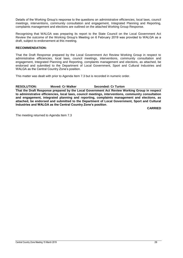Details of the Working Group's response to the questions on administrative efficiencies, local laws, council meetings, interventions, community consultation and engagement, Integrated Planning and Reporting, complaints management and elections are outlined on the attached Working Group Response.

Recognising that WALGA was preparing its report to the State Council on the Local Government Act Review the outcome of the Working Group's Meeting on 6 February 2019 was provided to WALGA as a draft, subject to endorsement at this meeting.

#### **RECOMMENDATION:**

That the Draft Response prepared by the Local Government Act Review Working Group in respect to administrative efficiencies, local laws, council meetings, interventions, community consultation and engagement, Integrated Planning and Reporting, complaints management and elections, as attached, be endorsed and submitted to the Department of Local Government, Sport and Cultural Industries and WALGA as the Central Country Zone's position.

This matter was dealt with prior to Agenda Item 7.3 but is recorded in numeric order.

#### **RESOLUTION: Moved: Cr Walker Seconded: Cr Turton**

**That the Draft Response prepared by the Local Government Act Review Working Group in respect to administrative efficiencies, local laws, council meetings, interventions, community consultation and engagement, integrated planning and reporting, complaints management and elections, as attached, be endorsed and submitted to the Department of Local Government, Sport and Cultural Industries and WALGA as the Central Country Zone's position**.

**CARRIED**

The meeting returned to Agenda Item 7.3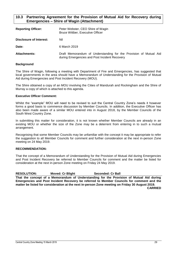#### <span id="page-29-0"></span>**10.3 Partnering Agreement for the Provision of Mutual Aid for Recovery during Emergencies – Shire of Wagin (Attachment)**

| <b>Reporting Officer:</b> | Peter Webster, CEO Shire of Wagin<br>Bruce Wittber, Executive Officer                                              |
|---------------------------|--------------------------------------------------------------------------------------------------------------------|
| Disclosure of Interest:   | Nil                                                                                                                |
| Date:                     | 6 March 2019                                                                                                       |
| <b>Attachments:</b>       | Draft Memorandum of Understanding for the Provision of Mutual Aid<br>during Emergencies and Post Incident Recovery |

#### **Background**

The Shire of Wagin, following a meeting with Department of Fire and Emergencies, has suggested that local governments in the area should have a Memorandum of Understanding for the Provision of Mutual Aid during Emergencies and Post Incident Recovery (MOU).

The Shire obtained a copy of an MOU involving the Cities of Mandurah and Rockingham and the Shire of Murray a copy of which is attached to this agenda.

#### **Executive Officer Comment:**

Whilst the "example" MOU will need to be revised to suit the Central Country Zone's needs it however forms a good basis to commence discussion by Member Councils. In addition, the Executive Officer has also been made aware of a similar MOU entered into in August 2018, by the Member Councils of the South West Country Zone.

In submitting this matter for consideration, it is not known whether Member Councils are already in an existing MOU or whether the size of the Zone may be a deterrent from entering in to such a mutual arrangement.

Recognising that some Member Councils may be unfamiliar with the concept it may be appropriate to refer the suggestion to all Member Councils for comment and further consideration at the next in-person Zone meeting on 24 May 2019.

#### **RECOMMENDATION:**

That the concept of a Memorandum of Understanding for the Provision of Mutual Aid during Emergencies and Post Incident Recovery be referred to Member Councils for comment and the matter be listed for consideration at the next in-person Zone meeting on Friday 24 May 2019.

**RESOLUTION: Moved: Cr Blight Seconded: Cr Ball That the concept of a Memorandum of Understanding for the Provision of Mutual Aid during Emergencies and Post Incident Recovery be referred to Member Councils for comment and the matter be listed for consideration at the next in-person Zone meeting on Friday 30 August 2019. CARRIED**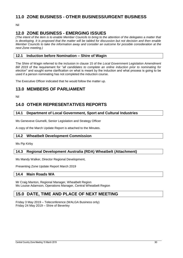## <span id="page-30-0"></span>**11.0 ZONE BUSINESS - OTHER BUSINESS/URGENT BUSINESS**

Nil

## <span id="page-30-1"></span>**12.0 ZONE BUSINESS - EMERGING ISSUES**

*(The intent of the item is to enable Member Councils to bring to the attention of the delegates a matter that is developing. It is proposed that the matter will be tabled for discussion but not decision and then enable Member Councils to take the information away and consider an outcome for possible consideration at the next Zone meeting.)*

#### <span id="page-30-2"></span>**12.1 Induction before Nomination – Shire of Wagin**

The Shire of Wagin referred to the inclusion in clause 15 of the *Local Government Legislation Amendment Bill 2019* of the requirement for "*all candidates to complete an online induction prior to nominating for election*" and sought some clarification on what is meant by the induction and what process is going to be used if a person nominating has not completed the induction course.

The Executive Officer indicated that he would follow the matter up.

### <span id="page-30-3"></span>**13.0 MEMBERS OF PARLIAMENT**

Nil

## <span id="page-30-4"></span>**14.0 OTHER REPRESENTATIVES REPORTS**

#### <span id="page-30-5"></span>**14.1 Department of Local Government, Sport and Cultural Industries**

Ms Geneveve Giumelli, Senior Legislation and Strategy Officer

A copy of the March Update Report is attached to the Minutes.

#### <span id="page-30-6"></span>**14.2 Wheatbelt Development Commission**

Ms Pip Kirby

#### <span id="page-30-7"></span>**14.3 Regional Development Australia (RDA) Wheatbelt (Attachment)**

Ms Mandy Walker, Director Regional Development,

Presenting Zone Update Report March 2019

#### <span id="page-30-8"></span>**14.4 Main Roads WA**

Mr Craig Manton, Regional Manager, Wheatbelt Region Ms Louise Adamson, Operations Manager, Central Wheatbelt Region

## <span id="page-30-9"></span>**15.0 DATE, TIME AND PLACE OF NEXT MEETING**

Friday 3 May 2019 – Teleconference (WALGA Business only) Friday 24 May 2019 – Shire of Beverley